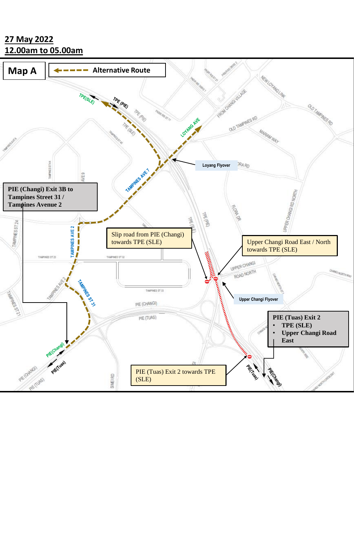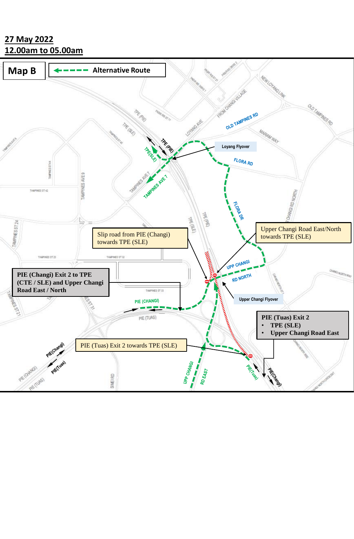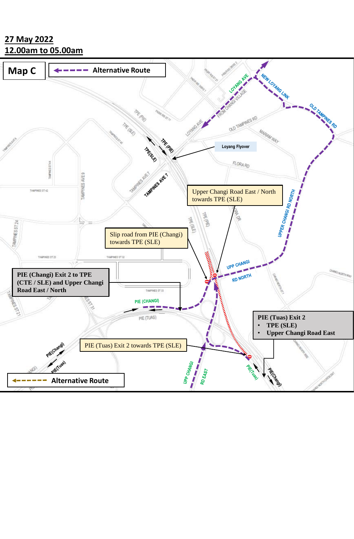